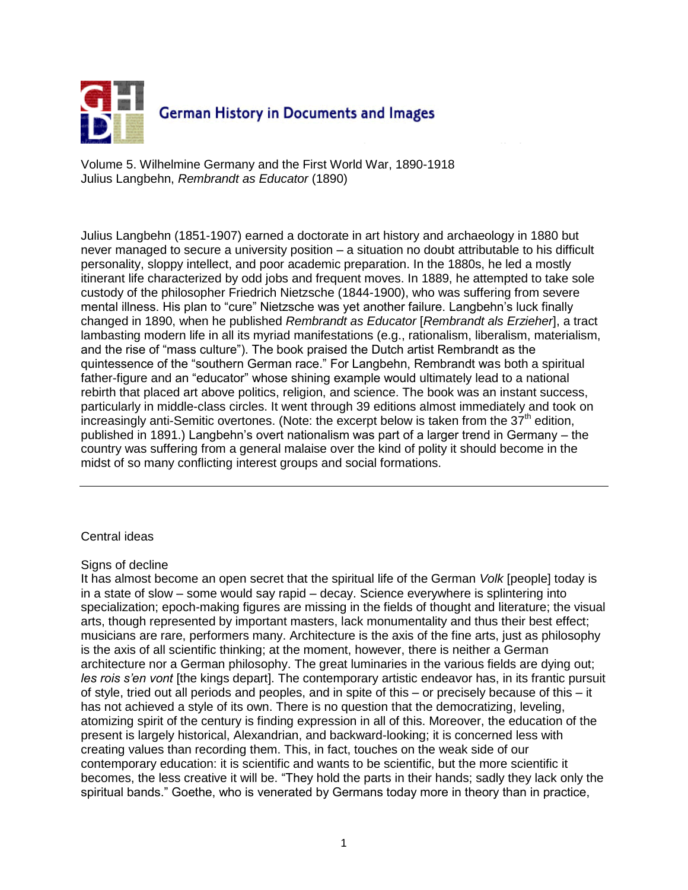

Volume 5. Wilhelmine Germany and the First World War, 1890-1918 Julius Langbehn, *Rembrandt as Educator* (1890)

Julius Langbehn (1851-1907) earned a doctorate in art history and archaeology in 1880 but never managed to secure a university position – a situation no doubt attributable to his difficult personality, sloppy intellect, and poor academic preparation. In the 1880s, he led a mostly itinerant life characterized by odd jobs and frequent moves. In 1889, he attempted to take sole custody of the philosopher Friedrich Nietzsche (1844-1900), who was suffering from severe mental illness. His plan to "cure" Nietzsche was yet another failure. Langbehn's luck finally changed in 1890, when he published *Rembrandt as Educator* [*Rembrandt als Erzieher*], a tract lambasting modern life in all its myriad manifestations (e.g., rationalism, liberalism, materialism, and the rise of "mass culture"). The book praised the Dutch artist Rembrandt as the quintessence of the "southern German race." For Langbehn, Rembrandt was both a spiritual father-figure and an "educator" whose shining example would ultimately lead to a national rebirth that placed art above politics, religion, and science. The book was an instant success, particularly in middle-class circles. It went through 39 editions almost immediately and took on increasingly anti-Semitic overtones. (Note: the excerpt below is taken from the  $37<sup>th</sup>$  edition, published in 1891.) Langbehn's overt nationalism was part of a larger trend in Germany – the country was suffering from a general malaise over the kind of polity it should become in the midst of so many conflicting interest groups and social formations.

# Central ideas

# Signs of decline

It has almost become an open secret that the spiritual life of the German *Volk* [people] today is in a state of slow – some would say rapid – decay. Science everywhere is splintering into specialization; epoch-making figures are missing in the fields of thought and literature; the visual arts, though represented by important masters, lack monumentality and thus their best effect; musicians are rare, performers many. Architecture is the axis of the fine arts, just as philosophy is the axis of all scientific thinking; at the moment, however, there is neither a German architecture nor a German philosophy. The great luminaries in the various fields are dying out; *les rois s'en vont* [the kings depart]. The contemporary artistic endeavor has, in its frantic pursuit of style, tried out all periods and peoples, and in spite of this – or precisely because of this – it has not achieved a style of its own. There is no question that the democratizing, leveling, atomizing spirit of the century is finding expression in all of this. Moreover, the education of the present is largely historical, Alexandrian, and backward-looking; it is concerned less with creating values than recording them. This, in fact, touches on the weak side of our contemporary education: it is scientific and wants to be scientific, but the more scientific it becomes, the less creative it will be. "They hold the parts in their hands; sadly they lack only the spiritual bands." Goethe, who is venerated by Germans today more in theory than in practice,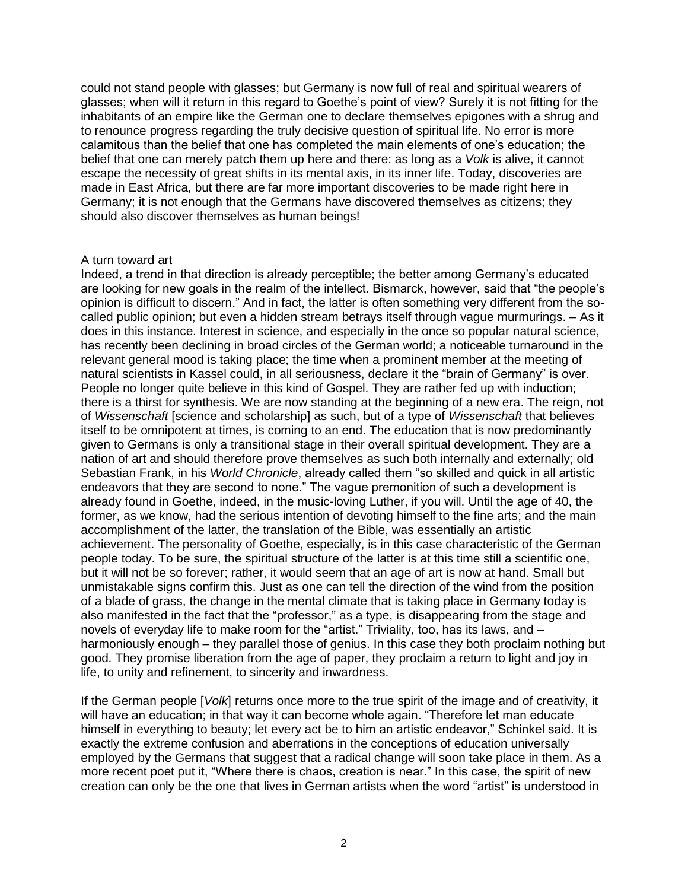could not stand people with glasses; but Germany is now full of real and spiritual wearers of glasses; when will it return in this regard to Goethe's point of view? Surely it is not fitting for the inhabitants of an empire like the German one to declare themselves epigones with a shrug and to renounce progress regarding the truly decisive question of spiritual life. No error is more calamitous than the belief that one has completed the main elements of one's education; the belief that one can merely patch them up here and there: as long as a *Volk* is alive, it cannot escape the necessity of great shifts in its mental axis, in its inner life. Today, discoveries are made in East Africa, but there are far more important discoveries to be made right here in Germany; it is not enough that the Germans have discovered themselves as citizens; they should also discover themselves as human beings!

# A turn toward art

Indeed, a trend in that direction is already perceptible; the better among Germany's educated are looking for new goals in the realm of the intellect. Bismarck, however, said that "the people's opinion is difficult to discern." And in fact, the latter is often something very different from the socalled public opinion; but even a hidden stream betrays itself through vague murmurings. – As it does in this instance. Interest in science, and especially in the once so popular natural science, has recently been declining in broad circles of the German world; a noticeable turnaround in the relevant general mood is taking place; the time when a prominent member at the meeting of natural scientists in Kassel could, in all seriousness, declare it the "brain of Germany" is over. People no longer quite believe in this kind of Gospel. They are rather fed up with induction; there is a thirst for synthesis. We are now standing at the beginning of a new era. The reign, not of *Wissenschaft* [science and scholarship] as such, but of a type of *Wissenschaft* that believes itself to be omnipotent at times, is coming to an end. The education that is now predominantly given to Germans is only a transitional stage in their overall spiritual development. They are a nation of art and should therefore prove themselves as such both internally and externally; old Sebastian Frank, in his *World Chronicle*, already called them "so skilled and quick in all artistic endeavors that they are second to none." The vague premonition of such a development is already found in Goethe, indeed, in the music-loving Luther, if you will. Until the age of 40, the former, as we know, had the serious intention of devoting himself to the fine arts; and the main accomplishment of the latter, the translation of the Bible, was essentially an artistic achievement. The personality of Goethe, especially, is in this case characteristic of the German people today. To be sure, the spiritual structure of the latter is at this time still a scientific one, but it will not be so forever; rather, it would seem that an age of art is now at hand. Small but unmistakable signs confirm this. Just as one can tell the direction of the wind from the position of a blade of grass, the change in the mental climate that is taking place in Germany today is also manifested in the fact that the "professor," as a type, is disappearing from the stage and novels of everyday life to make room for the "artist." Triviality, too, has its laws, and – harmoniously enough – they parallel those of genius. In this case they both proclaim nothing but good. They promise liberation from the age of paper, they proclaim a return to light and joy in life, to unity and refinement, to sincerity and inwardness.

If the German people [*Volk*] returns once more to the true spirit of the image and of creativity, it will have an education; in that way it can become whole again. "Therefore let man educate himself in everything to beauty; let every act be to him an artistic endeavor," Schinkel said. It is exactly the extreme confusion and aberrations in the conceptions of education universally employed by the Germans that suggest that a radical change will soon take place in them. As a more recent poet put it, "Where there is chaos, creation is near." In this case, the spirit of new creation can only be the one that lives in German artists when the word "artist" is understood in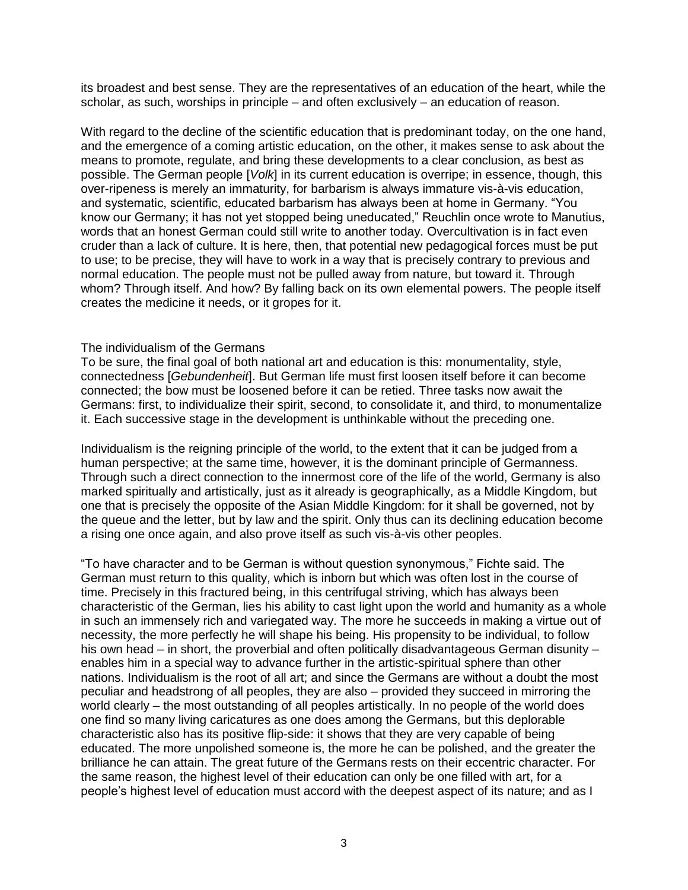its broadest and best sense. They are the representatives of an education of the heart, while the scholar, as such, worships in principle – and often exclusively – an education of reason.

With regard to the decline of the scientific education that is predominant today, on the one hand, and the emergence of a coming artistic education, on the other, it makes sense to ask about the means to promote, regulate, and bring these developments to a clear conclusion, as best as possible. The German people [*Volk*] in its current education is overripe; in essence, though, this over-ripeness is merely an immaturity, for barbarism is always immature vis-à-vis education, and systematic, scientific, educated barbarism has always been at home in Germany. "You know our Germany; it has not yet stopped being uneducated," Reuchlin once wrote to Manutius, words that an honest German could still write to another today. Overcultivation is in fact even cruder than a lack of culture. It is here, then, that potential new pedagogical forces must be put to use; to be precise, they will have to work in a way that is precisely contrary to previous and normal education. The people must not be pulled away from nature, but toward it. Through whom? Through itself. And how? By falling back on its own elemental powers. The people itself creates the medicine it needs, or it gropes for it.

## The individualism of the Germans

To be sure, the final goal of both national art and education is this: monumentality, style, connectedness [*Gebundenheit*]. But German life must first loosen itself before it can become connected; the bow must be loosened before it can be retied. Three tasks now await the Germans: first, to individualize their spirit, second, to consolidate it, and third, to monumentalize it. Each successive stage in the development is unthinkable without the preceding one.

Individualism is the reigning principle of the world, to the extent that it can be judged from a human perspective; at the same time, however, it is the dominant principle of Germanness. Through such a direct connection to the innermost core of the life of the world, Germany is also marked spiritually and artistically, just as it already is geographically, as a Middle Kingdom, but one that is precisely the opposite of the Asian Middle Kingdom: for it shall be governed, not by the queue and the letter, but by law and the spirit. Only thus can its declining education become a rising one once again, and also prove itself as such vis-à-vis other peoples.

"To have character and to be German is without question synonymous," Fichte said. The German must return to this quality, which is inborn but which was often lost in the course of time. Precisely in this fractured being, in this centrifugal striving, which has always been characteristic of the German, lies his ability to cast light upon the world and humanity as a whole in such an immensely rich and variegated way. The more he succeeds in making a virtue out of necessity, the more perfectly he will shape his being. His propensity to be individual, to follow his own head – in short, the proverbial and often politically disadvantageous German disunity – enables him in a special way to advance further in the artistic-spiritual sphere than other nations. Individualism is the root of all art; and since the Germans are without a doubt the most peculiar and headstrong of all peoples, they are also – provided they succeed in mirroring the world clearly – the most outstanding of all peoples artistically. In no people of the world does one find so many living caricatures as one does among the Germans, but this deplorable characteristic also has its positive flip-side: it shows that they are very capable of being educated. The more unpolished someone is, the more he can be polished, and the greater the brilliance he can attain. The great future of the Germans rests on their eccentric character. For the same reason, the highest level of their education can only be one filled with art, for a people's highest level of education must accord with the deepest aspect of its nature; and as I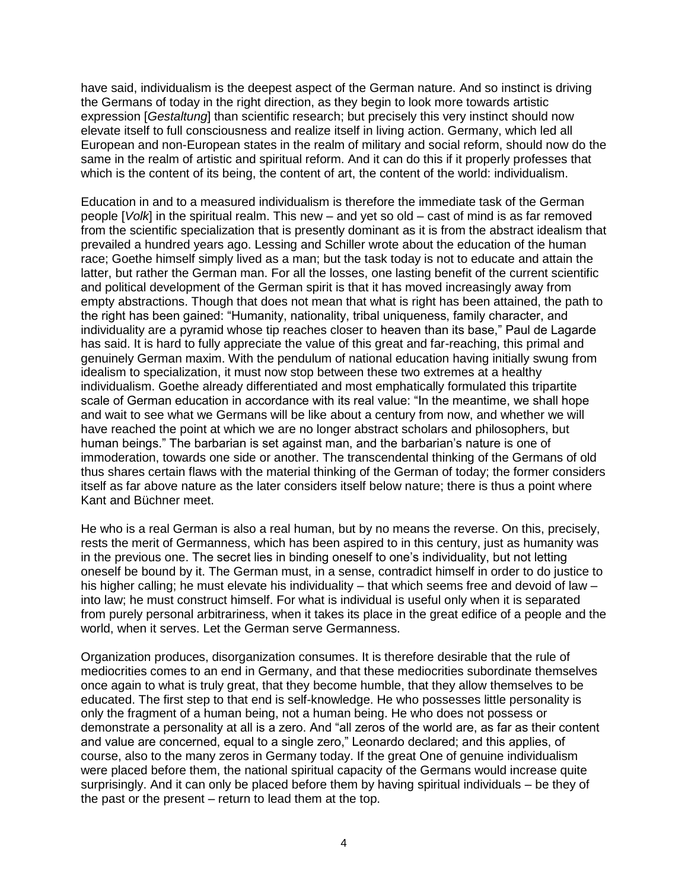have said, individualism is the deepest aspect of the German nature. And so instinct is driving the Germans of today in the right direction, as they begin to look more towards artistic expression [*Gestaltung*] than scientific research; but precisely this very instinct should now elevate itself to full consciousness and realize itself in living action. Germany, which led all European and non-European states in the realm of military and social reform, should now do the same in the realm of artistic and spiritual reform. And it can do this if it properly professes that which is the content of its being, the content of art, the content of the world: individualism.

Education in and to a measured individualism is therefore the immediate task of the German people [*Volk*] in the spiritual realm. This new – and yet so old – cast of mind is as far removed from the scientific specialization that is presently dominant as it is from the abstract idealism that prevailed a hundred years ago. Lessing and Schiller wrote about the education of the human race; Goethe himself simply lived as a man; but the task today is not to educate and attain the latter, but rather the German man. For all the losses, one lasting benefit of the current scientific and political development of the German spirit is that it has moved increasingly away from empty abstractions. Though that does not mean that what is right has been attained, the path to the right has been gained: "Humanity, nationality, tribal uniqueness, family character, and individuality are a pyramid whose tip reaches closer to heaven than its base," Paul de Lagarde has said. It is hard to fully appreciate the value of this great and far-reaching, this primal and genuinely German maxim. With the pendulum of national education having initially swung from idealism to specialization, it must now stop between these two extremes at a healthy individualism. Goethe already differentiated and most emphatically formulated this tripartite scale of German education in accordance with its real value: "In the meantime, we shall hope and wait to see what we Germans will be like about a century from now, and whether we will have reached the point at which we are no longer abstract scholars and philosophers, but human beings." The barbarian is set against man, and the barbarian's nature is one of immoderation, towards one side or another. The transcendental thinking of the Germans of old thus shares certain flaws with the material thinking of the German of today; the former considers itself as far above nature as the later considers itself below nature; there is thus a point where Kant and Büchner meet.

He who is a real German is also a real human, but by no means the reverse. On this, precisely, rests the merit of Germanness, which has been aspired to in this century, just as humanity was in the previous one. The secret lies in binding oneself to one's individuality, but not letting oneself be bound by it. The German must, in a sense, contradict himself in order to do justice to his higher calling; he must elevate his individuality – that which seems free and devoid of law – into law; he must construct himself. For what is individual is useful only when it is separated from purely personal arbitrariness, when it takes its place in the great edifice of a people and the world, when it serves. Let the German serve Germanness.

Organization produces, disorganization consumes. It is therefore desirable that the rule of mediocrities comes to an end in Germany, and that these mediocrities subordinate themselves once again to what is truly great, that they become humble, that they allow themselves to be educated. The first step to that end is self-knowledge. He who possesses little personality is only the fragment of a human being, not a human being. He who does not possess or demonstrate a personality at all is a zero. And "all zeros of the world are, as far as their content and value are concerned, equal to a single zero," Leonardo declared; and this applies, of course, also to the many zeros in Germany today. If the great One of genuine individualism were placed before them, the national spiritual capacity of the Germans would increase quite surprisingly. And it can only be placed before them by having spiritual individuals – be they of the past or the present – return to lead them at the top.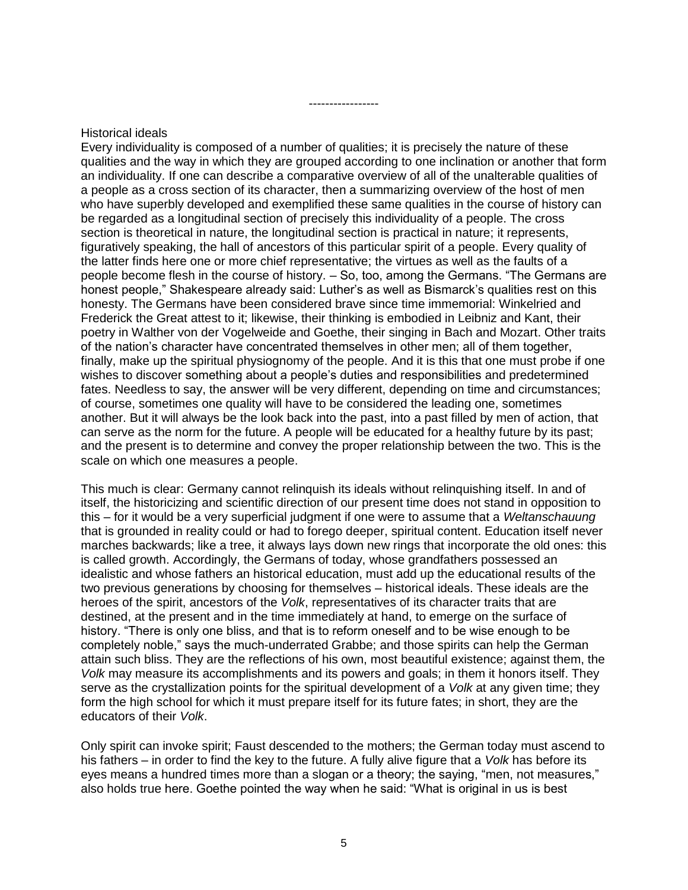## Historical ideals

Every individuality is composed of a number of qualities; it is precisely the nature of these qualities and the way in which they are grouped according to one inclination or another that form an individuality. If one can describe a comparative overview of all of the unalterable qualities of a people as a cross section of its character, then a summarizing overview of the host of men who have superbly developed and exemplified these same qualities in the course of history can be regarded as a longitudinal section of precisely this individuality of a people. The cross section is theoretical in nature, the longitudinal section is practical in nature; it represents, figuratively speaking, the hall of ancestors of this particular spirit of a people. Every quality of the latter finds here one or more chief representative; the virtues as well as the faults of a people become flesh in the course of history. – So, too, among the Germans. "The Germans are honest people," Shakespeare already said: Luther's as well as Bismarck's qualities rest on this honesty. The Germans have been considered brave since time immemorial: Winkelried and Frederick the Great attest to it; likewise, their thinking is embodied in Leibniz and Kant, their poetry in Walther von der Vogelweide and Goethe, their singing in Bach and Mozart. Other traits of the nation's character have concentrated themselves in other men; all of them together, finally, make up the spiritual physiognomy of the people. And it is this that one must probe if one wishes to discover something about a people's duties and responsibilities and predetermined fates. Needless to say, the answer will be very different, depending on time and circumstances; of course, sometimes one quality will have to be considered the leading one, sometimes another. But it will always be the look back into the past, into a past filled by men of action, that can serve as the norm for the future. A people will be educated for a healthy future by its past; and the present is to determine and convey the proper relationship between the two. This is the scale on which one measures a people.

-----------------

This much is clear: Germany cannot relinquish its ideals without relinquishing itself. In and of itself, the historicizing and scientific direction of our present time does not stand in opposition to this – for it would be a very superficial judgment if one were to assume that a *Weltanschauung* that is grounded in reality could or had to forego deeper, spiritual content. Education itself never marches backwards; like a tree, it always lays down new rings that incorporate the old ones: this is called growth. Accordingly, the Germans of today, whose grandfathers possessed an idealistic and whose fathers an historical education, must add up the educational results of the two previous generations by choosing for themselves – historical ideals. These ideals are the heroes of the spirit, ancestors of the *Volk*, representatives of its character traits that are destined, at the present and in the time immediately at hand, to emerge on the surface of history. "There is only one bliss, and that is to reform oneself and to be wise enough to be completely noble," says the much-underrated Grabbe; and those spirits can help the German attain such bliss. They are the reflections of his own, most beautiful existence; against them, the *Volk* may measure its accomplishments and its powers and goals; in them it honors itself. They serve as the crystallization points for the spiritual development of a *Volk* at any given time; they form the high school for which it must prepare itself for its future fates; in short, they are the educators of their *Volk*.

Only spirit can invoke spirit; Faust descended to the mothers; the German today must ascend to his fathers – in order to find the key to the future. A fully alive figure that a *Volk* has before its eyes means a hundred times more than a slogan or a theory; the saying, "men, not measures," also holds true here. Goethe pointed the way when he said: "What is original in us is best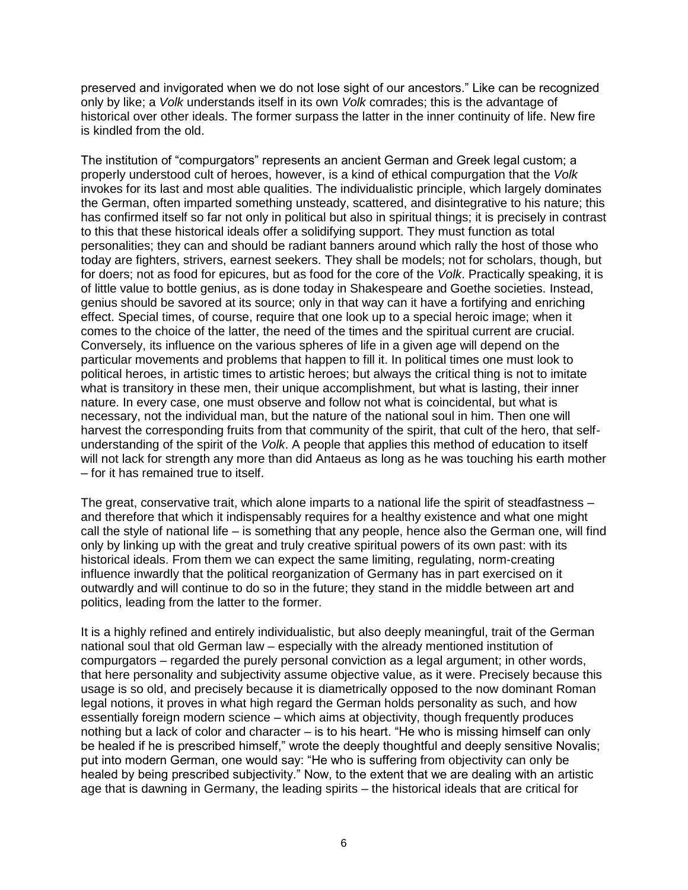preserved and invigorated when we do not lose sight of our ancestors." Like can be recognized only by like; a *Volk* understands itself in its own *Volk* comrades; this is the advantage of historical over other ideals. The former surpass the latter in the inner continuity of life. New fire is kindled from the old.

The institution of "compurgators" represents an ancient German and Greek legal custom; a properly understood cult of heroes, however, is a kind of ethical compurgation that the *Volk* invokes for its last and most able qualities. The individualistic principle, which largely dominates the German, often imparted something unsteady, scattered, and disintegrative to his nature; this has confirmed itself so far not only in political but also in spiritual things; it is precisely in contrast to this that these historical ideals offer a solidifying support. They must function as total personalities; they can and should be radiant banners around which rally the host of those who today are fighters, strivers, earnest seekers. They shall be models; not for scholars, though, but for doers; not as food for epicures, but as food for the core of the *Volk*. Practically speaking, it is of little value to bottle genius, as is done today in Shakespeare and Goethe societies. Instead, genius should be savored at its source; only in that way can it have a fortifying and enriching effect. Special times, of course, require that one look up to a special heroic image; when it comes to the choice of the latter, the need of the times and the spiritual current are crucial. Conversely, its influence on the various spheres of life in a given age will depend on the particular movements and problems that happen to fill it. In political times one must look to political heroes, in artistic times to artistic heroes; but always the critical thing is not to imitate what is transitory in these men, their unique accomplishment, but what is lasting, their inner nature. In every case, one must observe and follow not what is coincidental, but what is necessary, not the individual man, but the nature of the national soul in him. Then one will harvest the corresponding fruits from that community of the spirit, that cult of the hero, that selfunderstanding of the spirit of the *Volk*. A people that applies this method of education to itself will not lack for strength any more than did Antaeus as long as he was touching his earth mother – for it has remained true to itself.

The great, conservative trait, which alone imparts to a national life the spirit of steadfastness – and therefore that which it indispensably requires for a healthy existence and what one might call the style of national life – is something that any people, hence also the German one, will find only by linking up with the great and truly creative spiritual powers of its own past: with its historical ideals. From them we can expect the same limiting, regulating, norm-creating influence inwardly that the political reorganization of Germany has in part exercised on it outwardly and will continue to do so in the future; they stand in the middle between art and politics, leading from the latter to the former.

It is a highly refined and entirely individualistic, but also deeply meaningful, trait of the German national soul that old German law – especially with the already mentioned institution of compurgators – regarded the purely personal conviction as a legal argument; in other words, that here personality and subjectivity assume objective value, as it were. Precisely because this usage is so old, and precisely because it is diametrically opposed to the now dominant Roman legal notions, it proves in what high regard the German holds personality as such, and how essentially foreign modern science – which aims at objectivity, though frequently produces nothing but a lack of color and character – is to his heart. "He who is missing himself can only be healed if he is prescribed himself," wrote the deeply thoughtful and deeply sensitive Novalis; put into modern German, one would say: "He who is suffering from objectivity can only be healed by being prescribed subjectivity." Now, to the extent that we are dealing with an artistic age that is dawning in Germany, the leading spirits – the historical ideals that are critical for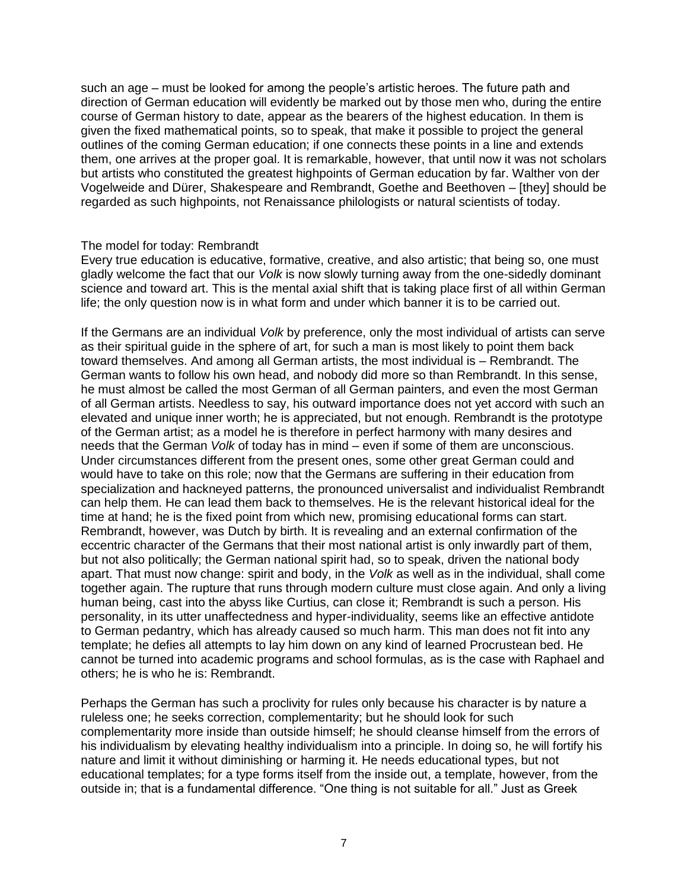such an age – must be looked for among the people's artistic heroes. The future path and direction of German education will evidently be marked out by those men who, during the entire course of German history to date, appear as the bearers of the highest education. In them is given the fixed mathematical points, so to speak, that make it possible to project the general outlines of the coming German education; if one connects these points in a line and extends them, one arrives at the proper goal. It is remarkable, however, that until now it was not scholars but artists who constituted the greatest highpoints of German education by far. Walther von der Vogelweide and Dürer, Shakespeare and Rembrandt, Goethe and Beethoven – [they] should be regarded as such highpoints, not Renaissance philologists or natural scientists of today.

# The model for today: Rembrandt

Every true education is educative, formative, creative, and also artistic; that being so, one must gladly welcome the fact that our *Volk* is now slowly turning away from the one-sidedly dominant science and toward art. This is the mental axial shift that is taking place first of all within German life; the only question now is in what form and under which banner it is to be carried out.

If the Germans are an individual *Volk* by preference, only the most individual of artists can serve as their spiritual guide in the sphere of art, for such a man is most likely to point them back toward themselves. And among all German artists, the most individual is – Rembrandt. The German wants to follow his own head, and nobody did more so than Rembrandt. In this sense, he must almost be called the most German of all German painters, and even the most German of all German artists. Needless to say, his outward importance does not yet accord with such an elevated and unique inner worth; he is appreciated, but not enough. Rembrandt is the prototype of the German artist; as a model he is therefore in perfect harmony with many desires and needs that the German *Volk* of today has in mind – even if some of them are unconscious. Under circumstances different from the present ones, some other great German could and would have to take on this role; now that the Germans are suffering in their education from specialization and hackneyed patterns, the pronounced universalist and individualist Rembrandt can help them. He can lead them back to themselves. He is the relevant historical ideal for the time at hand; he is the fixed point from which new, promising educational forms can start. Rembrandt, however, was Dutch by birth. It is revealing and an external confirmation of the eccentric character of the Germans that their most national artist is only inwardly part of them, but not also politically; the German national spirit had, so to speak, driven the national body apart. That must now change: spirit and body, in the *Volk* as well as in the individual, shall come together again. The rupture that runs through modern culture must close again. And only a living human being, cast into the abyss like Curtius, can close it; Rembrandt is such a person. His personality, in its utter unaffectedness and hyper-individuality, seems like an effective antidote to German pedantry, which has already caused so much harm. This man does not fit into any template; he defies all attempts to lay him down on any kind of learned Procrustean bed. He cannot be turned into academic programs and school formulas, as is the case with Raphael and others; he is who he is: Rembrandt.

Perhaps the German has such a proclivity for rules only because his character is by nature a ruleless one; he seeks correction, complementarity; but he should look for such complementarity more inside than outside himself; he should cleanse himself from the errors of his individualism by elevating healthy individualism into a principle. In doing so, he will fortify his nature and limit it without diminishing or harming it. He needs educational types, but not educational templates; for a type forms itself from the inside out, a template, however, from the outside in; that is a fundamental difference. "One thing is not suitable for all." Just as Greek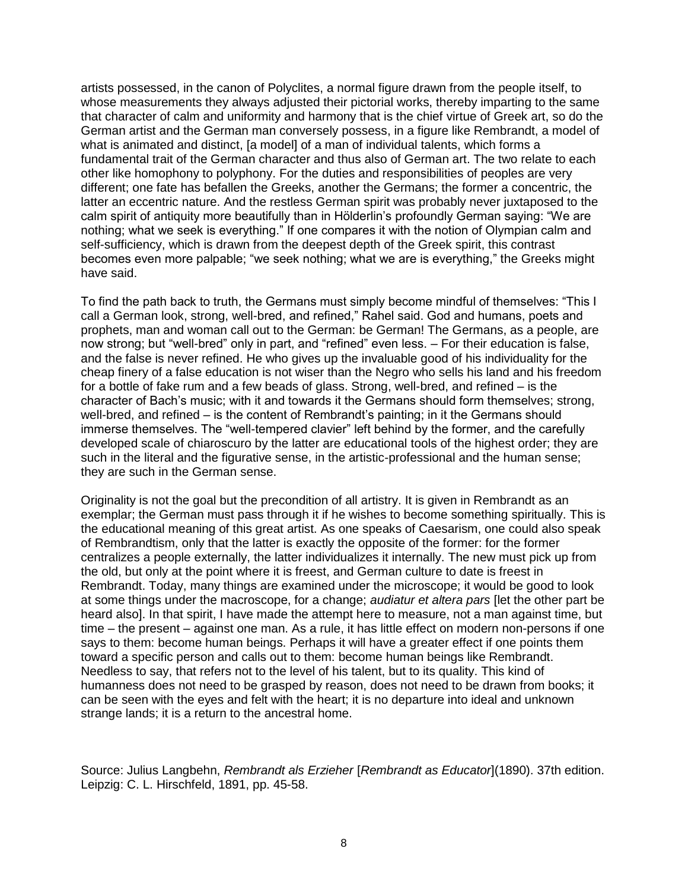artists possessed, in the canon of Polyclites, a normal figure drawn from the people itself, to whose measurements they always adjusted their pictorial works, thereby imparting to the same that character of calm and uniformity and harmony that is the chief virtue of Greek art, so do the German artist and the German man conversely possess, in a figure like Rembrandt, a model of what is animated and distinct, [a model] of a man of individual talents, which forms a fundamental trait of the German character and thus also of German art. The two relate to each other like homophony to polyphony. For the duties and responsibilities of peoples are very different; one fate has befallen the Greeks, another the Germans; the former a concentric, the latter an eccentric nature. And the restless German spirit was probably never juxtaposed to the calm spirit of antiquity more beautifully than in Hölderlin's profoundly German saying: "We are nothing; what we seek is everything." If one compares it with the notion of Olympian calm and self-sufficiency, which is drawn from the deepest depth of the Greek spirit, this contrast becomes even more palpable; "we seek nothing; what we are is everything," the Greeks might have said.

To find the path back to truth, the Germans must simply become mindful of themselves: "This I call a German look, strong, well-bred, and refined," Rahel said. God and humans, poets and prophets, man and woman call out to the German: be German! The Germans, as a people, are now strong; but "well-bred" only in part, and "refined" even less. – For their education is false, and the false is never refined. He who gives up the invaluable good of his individuality for the cheap finery of a false education is not wiser than the Negro who sells his land and his freedom for a bottle of fake rum and a few beads of glass. Strong, well-bred, and refined – is the character of Bach's music; with it and towards it the Germans should form themselves; strong, well-bred, and refined – is the content of Rembrandt's painting; in it the Germans should immerse themselves. The "well-tempered clavier" left behind by the former, and the carefully developed scale of chiaroscuro by the latter are educational tools of the highest order; they are such in the literal and the figurative sense, in the artistic-professional and the human sense; they are such in the German sense.

Originality is not the goal but the precondition of all artistry. It is given in Rembrandt as an exemplar; the German must pass through it if he wishes to become something spiritually. This is the educational meaning of this great artist. As one speaks of Caesarism, one could also speak of Rembrandtism, only that the latter is exactly the opposite of the former: for the former centralizes a people externally, the latter individualizes it internally. The new must pick up from the old, but only at the point where it is freest, and German culture to date is freest in Rembrandt. Today, many things are examined under the microscope; it would be good to look at some things under the macroscope, for a change; *audiatur et altera pars* [let the other part be heard also]. In that spirit, I have made the attempt here to measure, not a man against time, but time – the present – against one man. As a rule, it has little effect on modern non-persons if one says to them: become human beings. Perhaps it will have a greater effect if one points them toward a specific person and calls out to them: become human beings like Rembrandt. Needless to say, that refers not to the level of his talent, but to its quality. This kind of humanness does not need to be grasped by reason, does not need to be drawn from books; it can be seen with the eyes and felt with the heart; it is no departure into ideal and unknown strange lands; it is a return to the ancestral home.

Source: Julius Langbehn, *Rembrandt als Erzieher* [*Rembrandt as Educator*](1890). 37th edition. Leipzig: C. L. Hirschfeld, 1891, pp. 45-58.